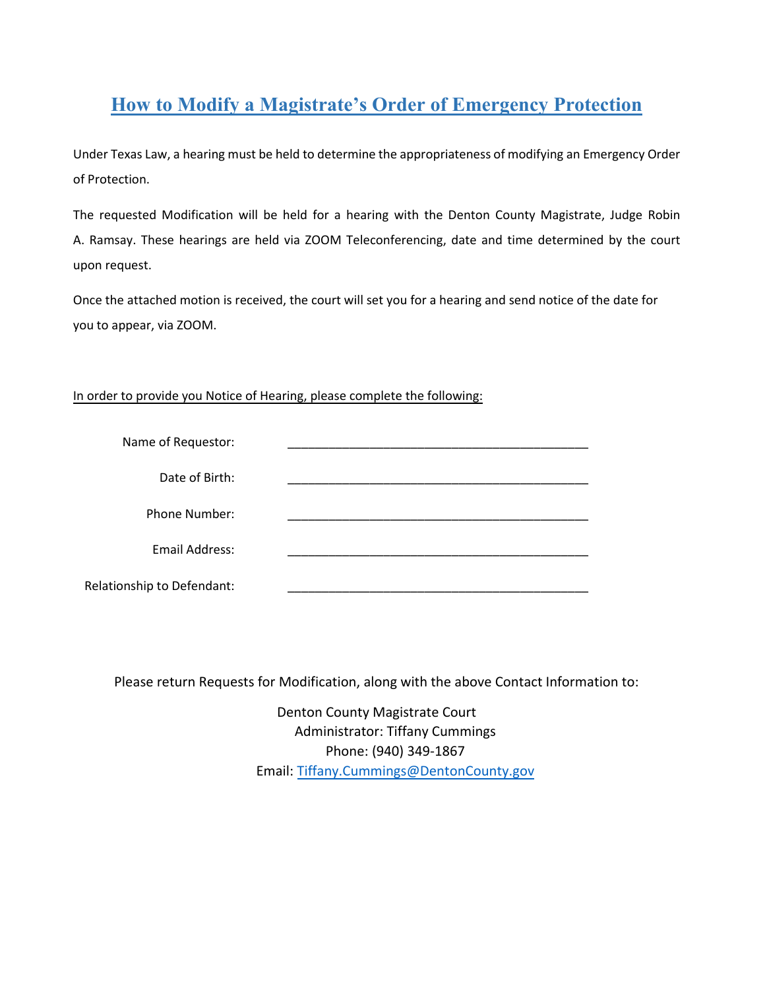## **How to Modify a Magistrate's Order of Emergency Protection**

Under Texas Law, a hearing must be held to determine the appropriateness of modifying an Emergency Order of Protection.

The requested Modification will be held for a hearing with the Denton County Magistrate, Judge Robin A. Ramsay. These hearings are held via ZOOM Teleconferencing, date and time determined by the court upon request.

Once the attached motion is received, the court will set you for a hearing and send notice of the date for you to appear, via ZOOM.

## In order to provide you Notice of Hearing, please complete the following:

| Name of Requestor:         |  |
|----------------------------|--|
| Date of Birth:             |  |
| Phone Number:              |  |
| <b>Email Address:</b>      |  |
| Relationship to Defendant: |  |

Please return Requests for Modification, along with the above Contact Information to:

Denton County Magistrate Court Administrator: Tiffany Cummings Phone: (940) 349-1867 Email: Tiffany.Cummings[@DentonCounty.](mailto:Rina.Maloney@DentonCounty.com)gov